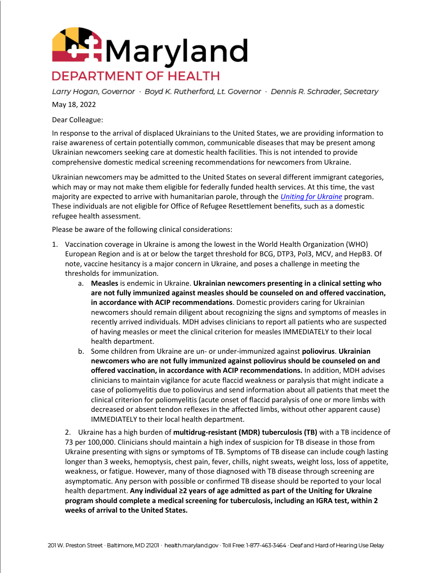

Larry Hogan, Governor · Boyd K. Rutherford, Lt. Governor · Dennis R. Schrader, Secretary

May 18, 2022

Dear Colleague:

In response to the arrival of displaced Ukrainians to the United States, we are providing information to raise awareness of certain potentially common, communicable diseases that may be present among Ukrainian newcomers seeking care at domestic health facilities. This is not intended to provide comprehensive domestic medical screening recommendations for newcomers from Ukraine.

Ukrainian newcomers may be admitted to the United States on several different immigrant categories, which may or may not make them eligible for federally funded health services. At this time, the vast majority are expected to arrive with humanitarian parole, through the *[Uniting for Ukraine](https://www.dhs.gov/ukraine)* program. These individuals are not eligible for Office of Refugee Resettlement benefits, such as a domestic refugee health assessment.

Please be aware of the following clinical considerations:

- 1. Vaccination coverage in Ukraine is among the lowest in the World Health Organization (WHO) European Region and is at or below the target threshold for BCG, DTP3, Pol3, MCV, and HepB3. Of note, vaccine hesitancy is a major concern in Ukraine, and poses a challenge in meeting the thresholds for immunization.
	- a. **Measles** is endemic in Ukraine. **Ukrainian newcomers presenting in a clinical setting who are not fully immunized against measles should be counseled on and offered vaccination, in accordance with ACIP recommendations**. Domestic providers caring for Ukrainian newcomers should remain diligent about recognizing the signs and symptoms of measles in recently arrived individuals. MDH advises clinicians to report all patients who are suspected of having measles or meet the clinical criterion for measles IMMEDIATELY to their local health department.
	- b. Some children from Ukraine are un- or under-immunized against **poliovirus**. **Ukrainian newcomers who are not fully immunized against poliovirus should be counseled on and offered vaccination, in accordance with ACIP recommendations.** In addition, MDH advises clinicians to maintain vigilance for acute flaccid weakness or paralysis that might indicate a case of poliomyelitis due to poliovirus and send information about all patients that meet the clinical criterion for poliomyelitis (acute onset of flaccid paralysis of one or more limbs with decreased or absent tendon reflexes in the affected limbs, without other apparent cause) IMMEDIATELY to their local health department.

2. Ukraine has a high burden of **multidrug-resistant (MDR) tuberculosis (TB)** with a TB incidence of 73 per 100,000. Clinicians should maintain a high index of suspicion for TB disease in those from Ukraine presenting with signs or symptoms of TB. Symptoms of TB disease can include cough lasting longer than 3 weeks, hemoptysis, chest pain, fever, chills, night sweats, weight loss, loss of appetite, weakness, or fatigue. However, many of those diagnosed with TB disease through screening are asymptomatic. Any person with possible or confirmed TB disease should be reported to your local health department. **Any individual ≥2 years of age admitted as part of the Uniting for Ukraine program should complete a medical screening for tuberculosis, including an IGRA test, within 2 weeks of arrival to the United States.**